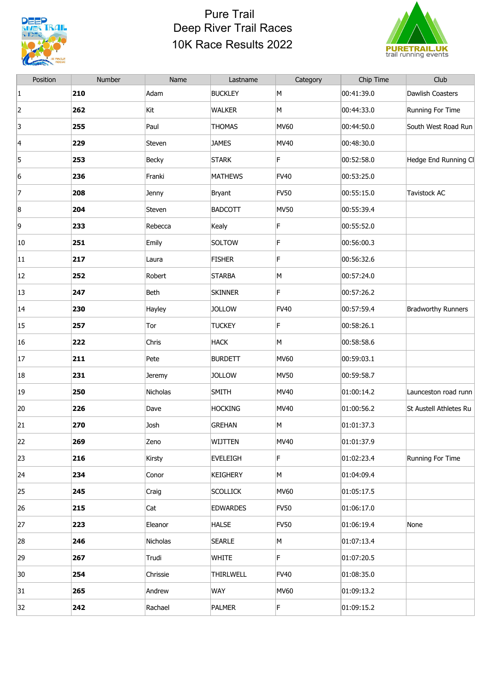

## Pure Trail Deep River Trail Races 10K Race Results 2022



| 00:41:39.0<br>Dawlish Coasters<br>210<br>Adam<br><b>BUCKLEY</b><br>M<br>$\vert 1 \vert$<br>2<br>262<br>Kit<br><b>WALKER</b><br>M<br>00:44:33.0<br>Running For Time<br>3<br>255<br><b>THOMAS</b><br><b>MV60</b><br>00:44:50.0<br>Paul<br>229<br>MV40<br>00:48:30.0<br>4<br>Steven<br><b>JAMES</b><br>F<br>5<br>253<br><b>STARK</b><br>Becky<br>00:52:58.0<br>6<br><b>MATHEWS</b><br><b>FV40</b><br>00:53:25.0<br>236<br>Franki<br>7<br>208<br><b>FV50</b><br>00:55:15.0<br>Tavistock AC<br>Jenny<br><b>Bryant</b><br>8<br>204<br><b>BADCOTT</b><br><b>MV50</b><br>00:55:39.4<br>Steven<br>F<br>9<br>233<br>00:55:52.0<br>Rebecca<br>Kealy<br>F<br>251<br>SOLTOW<br>00:56:00.3<br> 10<br>Emily<br>F<br>217<br><b>FISHER</b><br>00:56:32.6<br> 11<br>Laura<br>252<br>00:57:24.0<br>$ 12\rangle$<br>Robert<br><b>STARBA</b><br>M<br>F<br>13<br>247<br>Beth<br><b>SKINNER</b><br>00:57:26.2<br><b>Bradworthy Runners</b><br>230<br><b>JOLLOW</b><br><b>FV40</b><br>00:57:59.4<br> 14<br>Hayley<br>F<br>257<br>00:58:26.1<br>15<br>Tor<br><b>TUCKEY</b><br>222<br><b>HACK</b><br>16<br>M<br>00:58:58.6<br>Chris<br> 17<br>211<br><b>BURDETT</b><br><b>MV60</b><br>00:59:03.1<br>Pete<br>231<br><b>MV50</b><br>00:59:58.7<br>18<br><b>JOLLOW</b><br>Jeremy<br>19<br>250<br>Nicholas<br>SMITH<br>MV40<br>01:00:14.2<br>20<br>226<br><b>HOCKING</b><br>MV40<br>01:00:56.2<br>Dave<br>270<br><b>GREHAN</b><br>M<br>21<br>Josh<br>01:01:37.3<br>269<br>MV40<br>WIJTTEN<br> 01:01:37.9<br>22<br>Zeno<br>F<br>23<br>216<br>Kirsty<br><b>EVELEIGH</b><br>01:02:23.4<br>Running For Time<br>234<br><b>KEIGHERY</b><br>M<br>01:04:09.4<br>$ 24\rangle$<br>Conor<br>25<br>245<br><b>SCOLLICK</b><br><b>MV60</b><br>01:05:17.5<br>Craig<br>215<br><b>EDWARDES</b><br><b>FV50</b><br>01:06:17.0<br>26<br>Cat<br>223<br><b>FV50</b><br>01:06:19.4<br>27<br>Eleanor<br><b>HALSE</b><br>None<br>246<br>28<br>Nicholas<br><b>SEARLE</b><br>M<br>01:07:13.4<br>F<br>267<br><b>WHITE</b><br>01:07:20.5<br>29<br>Trudi<br>01:08:35.0<br>30<br>254<br>Chrissie<br>THIRLWELL<br><b>FV40</b><br>265<br>Andrew<br><b>MV60</b><br>01:09:13.2<br>31<br>WAY | Position | Number | Name    | Lastname      | Category | Chip Time  | Club                   |
|----------------------------------------------------------------------------------------------------------------------------------------------------------------------------------------------------------------------------------------------------------------------------------------------------------------------------------------------------------------------------------------------------------------------------------------------------------------------------------------------------------------------------------------------------------------------------------------------------------------------------------------------------------------------------------------------------------------------------------------------------------------------------------------------------------------------------------------------------------------------------------------------------------------------------------------------------------------------------------------------------------------------------------------------------------------------------------------------------------------------------------------------------------------------------------------------------------------------------------------------------------------------------------------------------------------------------------------------------------------------------------------------------------------------------------------------------------------------------------------------------------------------------------------------------------------------------------------------------------------------------------------------------------------------------------------------------------------------------------------------------------------------------------------------------------------------------------------------------------------------------------------------------------------------------------------------------------------------------------------------------------------------------------------------------------------------------------------------------------------------------|----------|--------|---------|---------------|----------|------------|------------------------|
|                                                                                                                                                                                                                                                                                                                                                                                                                                                                                                                                                                                                                                                                                                                                                                                                                                                                                                                                                                                                                                                                                                                                                                                                                                                                                                                                                                                                                                                                                                                                                                                                                                                                                                                                                                                                                                                                                                                                                                                                                                                                                                                            |          |        |         |               |          |            |                        |
|                                                                                                                                                                                                                                                                                                                                                                                                                                                                                                                                                                                                                                                                                                                                                                                                                                                                                                                                                                                                                                                                                                                                                                                                                                                                                                                                                                                                                                                                                                                                                                                                                                                                                                                                                                                                                                                                                                                                                                                                                                                                                                                            |          |        |         |               |          |            |                        |
|                                                                                                                                                                                                                                                                                                                                                                                                                                                                                                                                                                                                                                                                                                                                                                                                                                                                                                                                                                                                                                                                                                                                                                                                                                                                                                                                                                                                                                                                                                                                                                                                                                                                                                                                                                                                                                                                                                                                                                                                                                                                                                                            |          |        |         |               |          |            | South West Road Run    |
|                                                                                                                                                                                                                                                                                                                                                                                                                                                                                                                                                                                                                                                                                                                                                                                                                                                                                                                                                                                                                                                                                                                                                                                                                                                                                                                                                                                                                                                                                                                                                                                                                                                                                                                                                                                                                                                                                                                                                                                                                                                                                                                            |          |        |         |               |          |            |                        |
|                                                                                                                                                                                                                                                                                                                                                                                                                                                                                                                                                                                                                                                                                                                                                                                                                                                                                                                                                                                                                                                                                                                                                                                                                                                                                                                                                                                                                                                                                                                                                                                                                                                                                                                                                                                                                                                                                                                                                                                                                                                                                                                            |          |        |         |               |          |            | Hedge End Running Cl   |
|                                                                                                                                                                                                                                                                                                                                                                                                                                                                                                                                                                                                                                                                                                                                                                                                                                                                                                                                                                                                                                                                                                                                                                                                                                                                                                                                                                                                                                                                                                                                                                                                                                                                                                                                                                                                                                                                                                                                                                                                                                                                                                                            |          |        |         |               |          |            |                        |
|                                                                                                                                                                                                                                                                                                                                                                                                                                                                                                                                                                                                                                                                                                                                                                                                                                                                                                                                                                                                                                                                                                                                                                                                                                                                                                                                                                                                                                                                                                                                                                                                                                                                                                                                                                                                                                                                                                                                                                                                                                                                                                                            |          |        |         |               |          |            |                        |
|                                                                                                                                                                                                                                                                                                                                                                                                                                                                                                                                                                                                                                                                                                                                                                                                                                                                                                                                                                                                                                                                                                                                                                                                                                                                                                                                                                                                                                                                                                                                                                                                                                                                                                                                                                                                                                                                                                                                                                                                                                                                                                                            |          |        |         |               |          |            |                        |
|                                                                                                                                                                                                                                                                                                                                                                                                                                                                                                                                                                                                                                                                                                                                                                                                                                                                                                                                                                                                                                                                                                                                                                                                                                                                                                                                                                                                                                                                                                                                                                                                                                                                                                                                                                                                                                                                                                                                                                                                                                                                                                                            |          |        |         |               |          |            |                        |
|                                                                                                                                                                                                                                                                                                                                                                                                                                                                                                                                                                                                                                                                                                                                                                                                                                                                                                                                                                                                                                                                                                                                                                                                                                                                                                                                                                                                                                                                                                                                                                                                                                                                                                                                                                                                                                                                                                                                                                                                                                                                                                                            |          |        |         |               |          |            |                        |
|                                                                                                                                                                                                                                                                                                                                                                                                                                                                                                                                                                                                                                                                                                                                                                                                                                                                                                                                                                                                                                                                                                                                                                                                                                                                                                                                                                                                                                                                                                                                                                                                                                                                                                                                                                                                                                                                                                                                                                                                                                                                                                                            |          |        |         |               |          |            |                        |
|                                                                                                                                                                                                                                                                                                                                                                                                                                                                                                                                                                                                                                                                                                                                                                                                                                                                                                                                                                                                                                                                                                                                                                                                                                                                                                                                                                                                                                                                                                                                                                                                                                                                                                                                                                                                                                                                                                                                                                                                                                                                                                                            |          |        |         |               |          |            |                        |
|                                                                                                                                                                                                                                                                                                                                                                                                                                                                                                                                                                                                                                                                                                                                                                                                                                                                                                                                                                                                                                                                                                                                                                                                                                                                                                                                                                                                                                                                                                                                                                                                                                                                                                                                                                                                                                                                                                                                                                                                                                                                                                                            |          |        |         |               |          |            |                        |
|                                                                                                                                                                                                                                                                                                                                                                                                                                                                                                                                                                                                                                                                                                                                                                                                                                                                                                                                                                                                                                                                                                                                                                                                                                                                                                                                                                                                                                                                                                                                                                                                                                                                                                                                                                                                                                                                                                                                                                                                                                                                                                                            |          |        |         |               |          |            |                        |
|                                                                                                                                                                                                                                                                                                                                                                                                                                                                                                                                                                                                                                                                                                                                                                                                                                                                                                                                                                                                                                                                                                                                                                                                                                                                                                                                                                                                                                                                                                                                                                                                                                                                                                                                                                                                                                                                                                                                                                                                                                                                                                                            |          |        |         |               |          |            |                        |
|                                                                                                                                                                                                                                                                                                                                                                                                                                                                                                                                                                                                                                                                                                                                                                                                                                                                                                                                                                                                                                                                                                                                                                                                                                                                                                                                                                                                                                                                                                                                                                                                                                                                                                                                                                                                                                                                                                                                                                                                                                                                                                                            |          |        |         |               |          |            |                        |
|                                                                                                                                                                                                                                                                                                                                                                                                                                                                                                                                                                                                                                                                                                                                                                                                                                                                                                                                                                                                                                                                                                                                                                                                                                                                                                                                                                                                                                                                                                                                                                                                                                                                                                                                                                                                                                                                                                                                                                                                                                                                                                                            |          |        |         |               |          |            |                        |
|                                                                                                                                                                                                                                                                                                                                                                                                                                                                                                                                                                                                                                                                                                                                                                                                                                                                                                                                                                                                                                                                                                                                                                                                                                                                                                                                                                                                                                                                                                                                                                                                                                                                                                                                                                                                                                                                                                                                                                                                                                                                                                                            |          |        |         |               |          |            |                        |
|                                                                                                                                                                                                                                                                                                                                                                                                                                                                                                                                                                                                                                                                                                                                                                                                                                                                                                                                                                                                                                                                                                                                                                                                                                                                                                                                                                                                                                                                                                                                                                                                                                                                                                                                                                                                                                                                                                                                                                                                                                                                                                                            |          |        |         |               |          |            | Launceston road runn   |
|                                                                                                                                                                                                                                                                                                                                                                                                                                                                                                                                                                                                                                                                                                                                                                                                                                                                                                                                                                                                                                                                                                                                                                                                                                                                                                                                                                                                                                                                                                                                                                                                                                                                                                                                                                                                                                                                                                                                                                                                                                                                                                                            |          |        |         |               |          |            | St Austell Athletes Ru |
|                                                                                                                                                                                                                                                                                                                                                                                                                                                                                                                                                                                                                                                                                                                                                                                                                                                                                                                                                                                                                                                                                                                                                                                                                                                                                                                                                                                                                                                                                                                                                                                                                                                                                                                                                                                                                                                                                                                                                                                                                                                                                                                            |          |        |         |               |          |            |                        |
|                                                                                                                                                                                                                                                                                                                                                                                                                                                                                                                                                                                                                                                                                                                                                                                                                                                                                                                                                                                                                                                                                                                                                                                                                                                                                                                                                                                                                                                                                                                                                                                                                                                                                                                                                                                                                                                                                                                                                                                                                                                                                                                            |          |        |         |               |          |            |                        |
|                                                                                                                                                                                                                                                                                                                                                                                                                                                                                                                                                                                                                                                                                                                                                                                                                                                                                                                                                                                                                                                                                                                                                                                                                                                                                                                                                                                                                                                                                                                                                                                                                                                                                                                                                                                                                                                                                                                                                                                                                                                                                                                            |          |        |         |               |          |            |                        |
|                                                                                                                                                                                                                                                                                                                                                                                                                                                                                                                                                                                                                                                                                                                                                                                                                                                                                                                                                                                                                                                                                                                                                                                                                                                                                                                                                                                                                                                                                                                                                                                                                                                                                                                                                                                                                                                                                                                                                                                                                                                                                                                            |          |        |         |               |          |            |                        |
|                                                                                                                                                                                                                                                                                                                                                                                                                                                                                                                                                                                                                                                                                                                                                                                                                                                                                                                                                                                                                                                                                                                                                                                                                                                                                                                                                                                                                                                                                                                                                                                                                                                                                                                                                                                                                                                                                                                                                                                                                                                                                                                            |          |        |         |               |          |            |                        |
|                                                                                                                                                                                                                                                                                                                                                                                                                                                                                                                                                                                                                                                                                                                                                                                                                                                                                                                                                                                                                                                                                                                                                                                                                                                                                                                                                                                                                                                                                                                                                                                                                                                                                                                                                                                                                                                                                                                                                                                                                                                                                                                            |          |        |         |               |          |            |                        |
|                                                                                                                                                                                                                                                                                                                                                                                                                                                                                                                                                                                                                                                                                                                                                                                                                                                                                                                                                                                                                                                                                                                                                                                                                                                                                                                                                                                                                                                                                                                                                                                                                                                                                                                                                                                                                                                                                                                                                                                                                                                                                                                            |          |        |         |               |          |            |                        |
|                                                                                                                                                                                                                                                                                                                                                                                                                                                                                                                                                                                                                                                                                                                                                                                                                                                                                                                                                                                                                                                                                                                                                                                                                                                                                                                                                                                                                                                                                                                                                                                                                                                                                                                                                                                                                                                                                                                                                                                                                                                                                                                            |          |        |         |               |          |            |                        |
|                                                                                                                                                                                                                                                                                                                                                                                                                                                                                                                                                                                                                                                                                                                                                                                                                                                                                                                                                                                                                                                                                                                                                                                                                                                                                                                                                                                                                                                                                                                                                                                                                                                                                                                                                                                                                                                                                                                                                                                                                                                                                                                            |          |        |         |               |          |            |                        |
|                                                                                                                                                                                                                                                                                                                                                                                                                                                                                                                                                                                                                                                                                                                                                                                                                                                                                                                                                                                                                                                                                                                                                                                                                                                                                                                                                                                                                                                                                                                                                                                                                                                                                                                                                                                                                                                                                                                                                                                                                                                                                                                            |          |        |         |               |          |            |                        |
|                                                                                                                                                                                                                                                                                                                                                                                                                                                                                                                                                                                                                                                                                                                                                                                                                                                                                                                                                                                                                                                                                                                                                                                                                                                                                                                                                                                                                                                                                                                                                                                                                                                                                                                                                                                                                                                                                                                                                                                                                                                                                                                            |          |        |         |               |          |            |                        |
|                                                                                                                                                                                                                                                                                                                                                                                                                                                                                                                                                                                                                                                                                                                                                                                                                                                                                                                                                                                                                                                                                                                                                                                                                                                                                                                                                                                                                                                                                                                                                                                                                                                                                                                                                                                                                                                                                                                                                                                                                                                                                                                            | 32       | 242    | Rachael | <b>PALMER</b> | F        | 01:09:15.2 |                        |